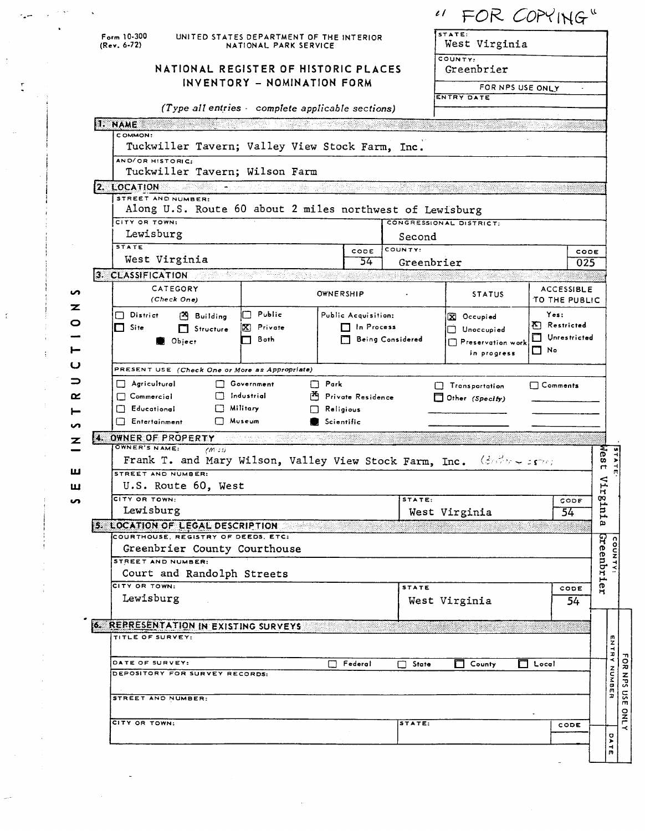|                                                                                                               |                                                                                |      |         | " FOR COPYING"          |  |
|---------------------------------------------------------------------------------------------------------------|--------------------------------------------------------------------------------|------|---------|-------------------------|--|
| $F_{\text{orm}}$ 10-300<br>UNITED STATES DEPARTMENT OF THE INTERIOR<br>$(Rev. 6-72)$<br>NATIONAL PARK SERVICE |                                                                                |      |         | STATE:<br>West Virginia |  |
|                                                                                                               | NATIONAL REGISTER OF HISTORIC PLACES                                           |      |         | COUNTY:<br>Greenbrier   |  |
|                                                                                                               | INVENTORY - NOMINATION FORM                                                    |      |         | FOR NPS USE ONLY        |  |
|                                                                                                               |                                                                                |      |         | ENTRY DATE              |  |
|                                                                                                               | (Type all entries complete applicable sections)                                |      |         |                         |  |
|                                                                                                               |                                                                                |      |         |                         |  |
| 1. NAME                                                                                                       |                                                                                |      |         |                         |  |
| COMMON:                                                                                                       | Tuckwiller Tavern; Valley View Stock Farm, Inc.                                |      |         |                         |  |
|                                                                                                               | AND/OR HISTORIC:<br>Tuckwiller Tavern; Wilson Farm                             |      |         |                         |  |
| 2. LOCATION                                                                                                   | 뒷물이 두고 있습니다. 이                                                                 |      |         |                         |  |
|                                                                                                               | STREET AND NUMBER:<br>Along U.S. Route 60 about 2 miles northwest of Lewisburg |      |         |                         |  |
| CITY OR TOWN:                                                                                                 |                                                                                |      |         | CONGRESSIONAL DISTRICT: |  |
|                                                                                                               | Lewisburg                                                                      |      | Second  |                         |  |
| <b>STATE</b>                                                                                                  | West Virginia                                                                  | CODE | COUNTY: | CODE                    |  |

|          | Lewisburg                                                                                                             |                                           |                                            | Second                |                                                              |                                                          |             |                 |
|----------|-----------------------------------------------------------------------------------------------------------------------|-------------------------------------------|--------------------------------------------|-----------------------|--------------------------------------------------------------|----------------------------------------------------------|-------------|-----------------|
|          | <b>STATE</b><br>West Virginia                                                                                         |                                           | CODE<br>54.                                | COUNTY:<br>Greenbrier |                                                              |                                                          | CODE<br>025 |                 |
|          | 3. CLASSIFICATION COMMUNIST CLASSIFICATION                                                                            |                                           |                                            |                       |                                                              |                                                          |             |                 |
|          | CATEGORY<br>(Check One)                                                                                               | OWNERSHIP                                 |                                            |                       | <b>STATUS</b>                                                | <b>ACCESSIBLE</b><br>TO THE PUBLIC                       |             |                 |
|          | $\Box$ District<br>Building<br>$\Box$ Site<br>$\Box$ Structure<br>Obirect                                             | $\Box$ Public<br>X Private<br><b>Both</b> | Public Acquisition:<br><b>T</b> In Process | Being Considered      | X Occupied<br>Unoccupied<br>Preservation work<br>in progress | Yes:<br><b>K</b> Restricted<br>Unrestricted<br>$\Box$ No |             |                 |
|          | PRESENT USE (Check One or More as Appropriate)                                                                        |                                           |                                            |                       |                                                              |                                                          |             |                 |
|          | $\Box$ Agricultural<br>Government<br>$\Box$ Industrial<br>$\Box$ Commercial<br><b>F</b> ducational<br>$\Box$ Military | $\Box$ Park<br>Religious                  | Private Residence                          |                       | Transportation<br>$\Box$ Other (Specify)                     | $\Box$ Comments                                          |             |                 |
|          | $\Box$ Museum<br><b>Entertainment</b>                                                                                 | Scientific                                |                                            |                       |                                                              |                                                          |             |                 |
|          | 4. OWNER OF PROPERTY                                                                                                  | a kacamatan ing Kabupatèn Kabupatèn J     |                                            |                       |                                                              |                                                          |             |                 |
| z        | OWNER'S NAME:<br>$(m \cdot s)$<br>Frank T. and Mary Wilson, Valley View Stock Farm, Inc.                              |                                           |                                            |                       | $(36\%n + 36\%)$                                             |                                                          |             | Nest            |
|          | STREET AND NUMBER:                                                                                                    |                                           |                                            |                       |                                                              |                                                          |             |                 |
|          | U.S. Route 60, West                                                                                                   |                                           |                                            |                       |                                                              |                                                          |             | Virginia        |
| <b>S</b> | CITY OR TOWN:                                                                                                         |                                           |                                            | STATE:                |                                                              | CODE                                                     |             |                 |
|          | Lewisburg                                                                                                             |                                           |                                            |                       | West Virginia                                                | 54                                                       |             |                 |
|          | 5. LOCATION OF LEGAL DESCRIPTION                                                                                      |                                           |                                            |                       |                                                              |                                                          |             |                 |
|          | COURTHOUSE, REGISTRY OF DEEDS, ETC:                                                                                   |                                           |                                            |                       |                                                              |                                                          |             |                 |
|          | Greenbrier County Courthouse                                                                                          |                                           |                                            |                       |                                                              |                                                          |             | Creenbrier      |
|          | STREET AND NUMBER:                                                                                                    |                                           |                                            |                       |                                                              |                                                          |             |                 |
|          | Court and Randolph Streets<br>CITY OR TOWN:                                                                           |                                           |                                            |                       |                                                              |                                                          |             |                 |
|          | Lewisburg                                                                                                             |                                           |                                            | <b>STATE</b>          |                                                              | CODE                                                     |             |                 |
|          |                                                                                                                       |                                           |                                            |                       | West Virginia                                                |                                                          | 54          |                 |
|          | <b>6. REPRESENTATION IN EXISTING SURVEYS</b>                                                                          |                                           |                                            |                       |                                                              |                                                          |             |                 |
|          | TITLE OF SURVEY:                                                                                                      |                                           |                                            |                       |                                                              |                                                          |             |                 |
|          |                                                                                                                       |                                           |                                            |                       |                                                              |                                                          |             |                 |
|          | DATE OF SURVEY:                                                                                                       |                                           | Federal                                    | $\Box$ State          | County                                                       | Local                                                    |             |                 |
|          | DEPOSITORY FOR SURVEY RECORDS:                                                                                        |                                           |                                            |                       |                                                              |                                                          |             | ENTRY NUMBER    |
|          |                                                                                                                       |                                           |                                            |                       |                                                              |                                                          |             |                 |
|          | STREET AND NUMBER:                                                                                                    |                                           |                                            |                       |                                                              |                                                          |             |                 |
|          |                                                                                                                       |                                           |                                            |                       |                                                              |                                                          |             |                 |
|          | CITY OR TOWN:                                                                                                         |                                           |                                            | STATE:                |                                                              | CODE                                                     |             |                 |
|          |                                                                                                                       |                                           |                                            |                       |                                                              |                                                          |             | O<br><b>ATE</b> |
|          |                                                                                                                       |                                           |                                            |                       |                                                              |                                                          |             |                 |

 $\overline{\phantom{a}}$ 

 $\frac{\epsilon}{\epsilon}$ 

 $\mathbf{I}$ 

## **NATION INVENTORY - NOMINATION FORM**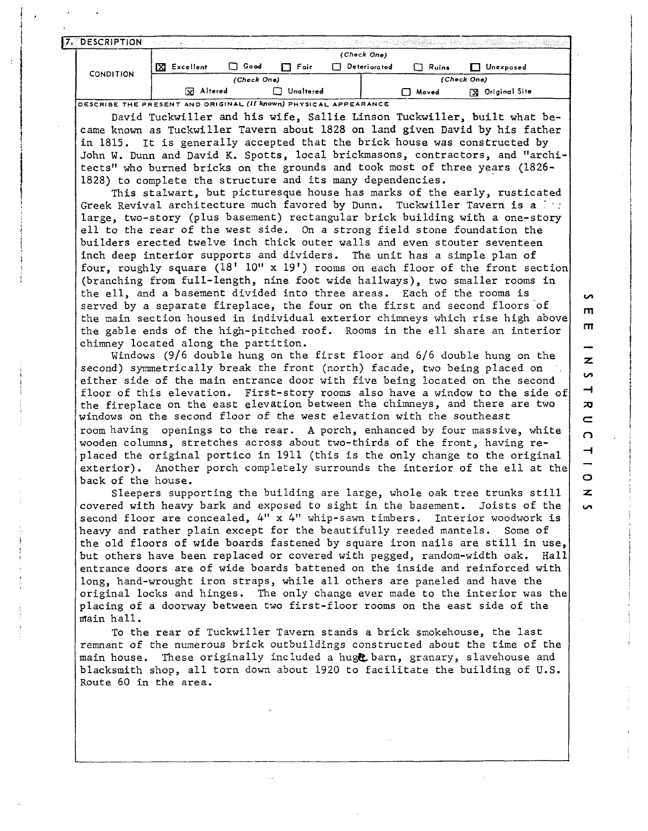| (Check One)<br>$\Box$ Good<br>X Excellent<br>Deteriorated<br>$\Box$ Fair<br>$\Box$ Ruins<br>Unexposed<br>CONDITION<br>(Check One)<br>(Check One) |                | R Altered |  |  |  |
|--------------------------------------------------------------------------------------------------------------------------------------------------|----------------|-----------|--|--|--|
|                                                                                                                                                  |                |           |  |  |  |
|                                                                                                                                                  |                |           |  |  |  |
|                                                                                                                                                  |                |           |  |  |  |
| 그림 전자 사람이 그리는 그 가게 되고 있는 사람들이 공부한 지금을 받는 것 없었다.                                                                                                  | 7. DESCRIPTION |           |  |  |  |

**)ESCRIBE THE PRESENT AND ORIGINAL (if known) PHYSICAL APPEARANCE** 

David Tuckwiller and his wife, Sallie Linson Tuckwiller, built what became known as Tuckwiller Tavern about 1828 on land given David by his father in 1815. It is generally accepted that the brick house was constructed by John W. Dunn and David K. Spotts, local brickmasons, contractors, and "architects" who burned bricks on the grounds and took most of three years (1826- 1828) to complete the structure and its many dependencies.

This stalwart, but picturesque house has marks of the early, rusticated Greek Revival architecture much favored by Dunn. Tuckwiller Tavern is a  $f: f$ large, two-story (plus basement) rectangular brick building with a one-story ell to the rear of the west side. On a strong field stone foundation the builders erected twelve inch thick outer walls and even stouter seventeen inch deep interior supports and dividers. The unit has a simple plan of four, roughly square  $(18' 10'' \times 19')$  rooms on each floor of the front section (branching from full-length, nine foot wide hallways), two smaller rooms in the ell, and a basement divided into three areas. Each of the rooms is served by a separate fireplace, the four on the first and second floors of the main section housed in individual exterior chimneys which rise high abovc the gable ends of the high-pitched roof. Rooms in the ell share an interior chimney located along the partition.

Windows (9/6 double hung on the first floor and 6/6 double hung on the second) symmetrically break the front (north) facade, two being placed on either side of the main entrance door with five being located on the second floor of this elevation. First-story rooms also have a window to the side of the fireplace on the east elevation between the chimneys, and there are two windows on the second floor of the west elevation with the southeast room having openings to the rear. **A** porch, enhanced by four massive, white wooden columns, stretches across about two-thirds of the front, having replaced the original portico in 1911 (this is the only change to the original exterior). Another porch completely surrounds the interior of the ell at the back of the house.

Sleepers supporting the building are large, whole oak tree trunks still covered with heavy bark and exposed to sight in the basement. Joists of the second floor are concealed, *4"* x 4" whip-sawn timbers. Interior woodwork is heavy and rather plain except for the beautifully reeded mantels. Some of the old floors of wide boards fastened by square iron nails are still in use, but others have been replaced or covered with pegged, random-width oak. Hall entrance doors are of wide boards battened on the inside and reinforced with long, hand-wrought iron straps, while all others are paneled and have the original locks and hinges. The only change ever made to the interior was thc placing of a doorway between two first-floor rooms on the east side of the main hall.

To the rear of Tuckwiller Tavern stands a brick smokehouse, the last remnant of the numerous brick outbuildings constructed about the time of the main house. These originally included a huge barn, granary, slavehouse and blacksmith shop, all torn down about 1920 to facilitate the building of U.S. Route 60 in the area.

 $m$  $\mathbf{\pi}$ z  $\sim$  $\rightarrow$  $\overline{a}$  $\subset$  $\Omega$  $\overline{\phantom{a}}$  $\circ$ z.

S

**Un**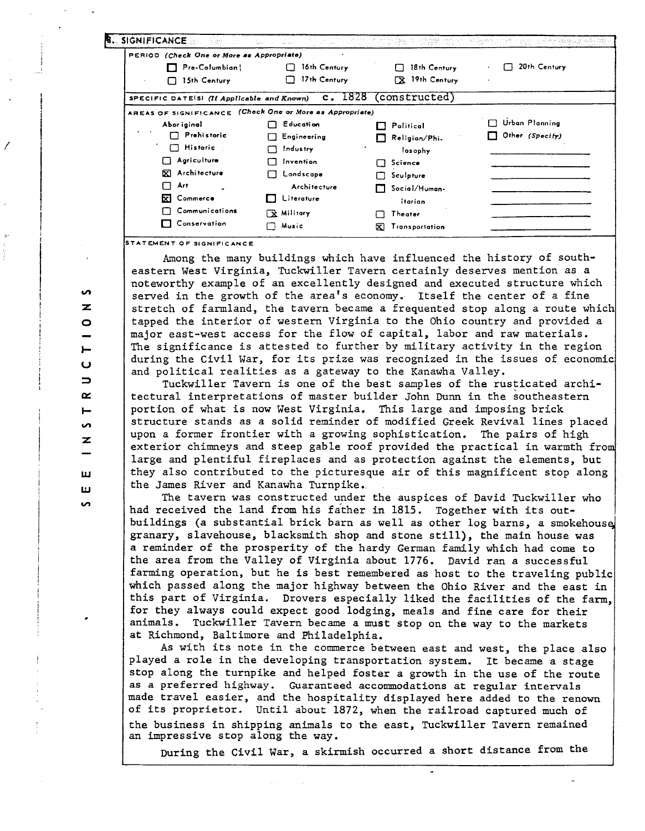| PERIOD (Check One or More as Appropriate)                |                    |                        |                        |
|----------------------------------------------------------|--------------------|------------------------|------------------------|
| $\Box$ Pre-Columbian                                     | 16th Century       | 18th Century<br>П      | 20th Century           |
| $\Box$ 15th Century                                      | 17th Century       | <b>EX</b> 19th Century |                        |
| SPECIFIC DATE(S) (If Applicable and Known)               |                    | c. 1828 (constructed)  |                        |
| AREAS OF SIGNIFICANCE (Check One or More as Appropriate) |                    |                        |                        |
| Abor iginal                                              | <b>Education</b>   | Political              | Urban Planning         |
| <b>Prehistoric</b>                                       | $\Box$ Engineering | Religion/Phi.          | $\Box$ Other (Specify) |
| Historic<br>n.                                           | Industry           | losophy                |                        |
| Agriculture                                              | Invention<br>П     | Science<br>$\Box$      |                        |
| <b>X</b> Architecture                                    | Landscape          | Sculpture              |                        |
| Art<br>m                                                 | Architecture       | Social/Human-          |                        |
| <b>XI</b> Commerce                                       | Literature         | itarian                |                        |
| Communications                                           | 「fre Militory」     | Theater                |                        |
| Conservation                                             | Music              | Transportation<br>W.   |                        |

**TATEMENT OF SIGNIFICANCE** 

Among the many buildings which have influenced the history of southeastern West Virginia, Tuckwiller Tavern certainly deserves mention as a noteworthy example of an excellently designed and executed structure which served in the growth of the area's economy. Itself the center of a fine stretch of farmland, the tavern became a frequented stop along a route which tapped the interior of western Virginia to the Ohio country and provided a major east-west access for the flow of capital, labor and raw materials. The significance is attested to further by military activity in the region during the Civil War, for its prize was recognized in the issues of economic and political realities as a gateway to the Kanawha Valley.

Tuckwiller Tavern is one of the best samples of the rusticated architectural interpretations of master builder John Dunn in the southeastern portion of what is now West Virginia. This large and imposing brick structure stands as a solid reminder of modified Greek Revival lines placed upon a former frontier with a growing sophistication. The pairs of high exterior chimneys and steep gable roof provided the practical in warmth from large and plentiful fireplaces and as protection against the elements, but they also contributed to the picturesque air of this magnificent stop along the James River and Kanawha Turnpike.<br>The tavern was constructed under the auspices of David Tuckwiller who

had received the land from his father in 1815. Together with its outbuildings (a substantial brick barn as well as other log barns, a smokehouse granary, slavehouse, blacksmith shop and stone still), the main house was a reminder of the prosperity of the hardy German family which had come to the area from the Valley of Virginia about 1776. David ran a successful farming operation, but he is best remembered as host to the traveling public which passed along the major highway between the Ohio River and the east in this part of Virginia. Drovers especially liked the facilities of the farm for they always could expect good lodging, meals and fine care for their animals. Tuckwiller Tavern became a must stop on the way to the markets at Richmond, Baltimore and Philadelphia.

As with its note in the commerce between east and west, the place also played a role in the developing transportation system. It became a stage stop along the turnpike and helped foster a growth in the use of the route as a preferred highway. Guaranteed accommodations at regular intervals made travel easier, and the hospitality displayed here added to the renown of its proprietor. Until about 1872, when the railroad captured much of the business in shipping animals to the east, Tuckwiller Tavern remained an impressive stop along the way.

During the Civil War, a skirmish occurred a short distance from the

 $\bullet$  $\vdash$  $\mathbf{\Omega}$  $\Rightarrow$  $\sim$  $\overline{\phantom{a}}$ Š, z ш

**S**  $\mathbf{z}$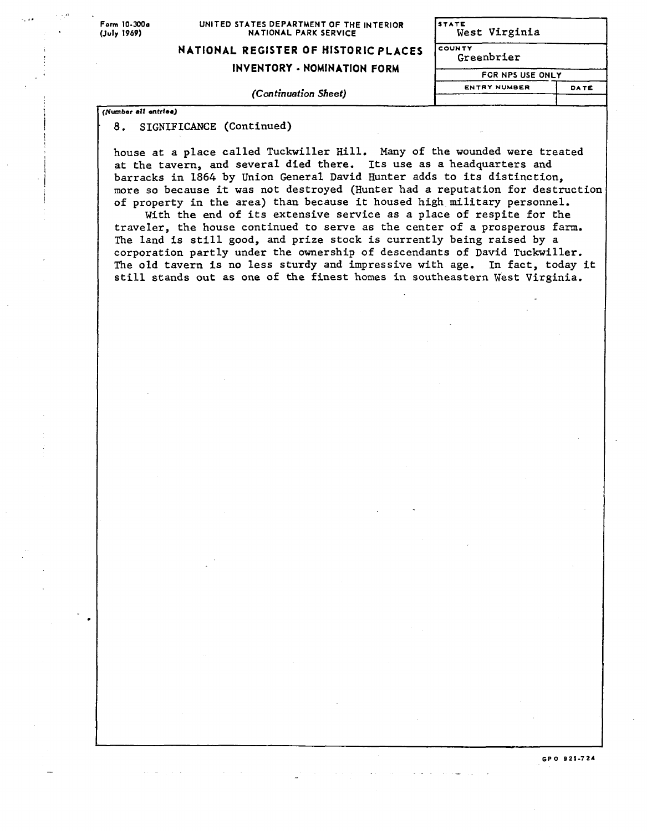## Form 10-300<sub>0</sub> UNITED STATES DEPARTMENT OF THE INTERIOR **STATES**<br>(July 1969) **MATIONAL PARK SERVICE NATIONAL PARK SERVICE**

| NATIONAL REGISTER OF HISTORIC PLACES |  |
|--------------------------------------|--|
|--------------------------------------|--|

**INVENTORY** - **NOMINATION FORM** 

## **ENTRYNUMBER DATE (Con** *tinuation Sheet)* <sup>I</sup>

| STATE<br>West Virginia |      |
|------------------------|------|
| COUNTY<br>Greenbrier   |      |
| FOR NPS USE ONLY       |      |
| <b>ENTRY NUMBER</b>    | DATE |

**GPO 621-724** 

**(Number all entrfee)** 

## 8. SIGNIFICANCE (Continued)

house at a place called Tuckwiller Hill. Many of the wounded were treated at the tavern, and several died there. Its use as a headquarters and barracks in 1864 by Union General David Hunter adds to its distinction, more so because it was not destroyed (Hunter had a reputation for destruction of property in the area) than because it housed high military personnel.

With the end of its extensive service as a place of respite for the traveler, the house continued to serve as the center of a prosperous farm. The land is still good, and prize stock is currently being raised by a corporation partly under the ownership of descendants of David Tuckwiller. The old tavern is no less sturdy and impressive with age. In fact, today it still stands **out** as one of **the** finest homes in southeastern West Virginia.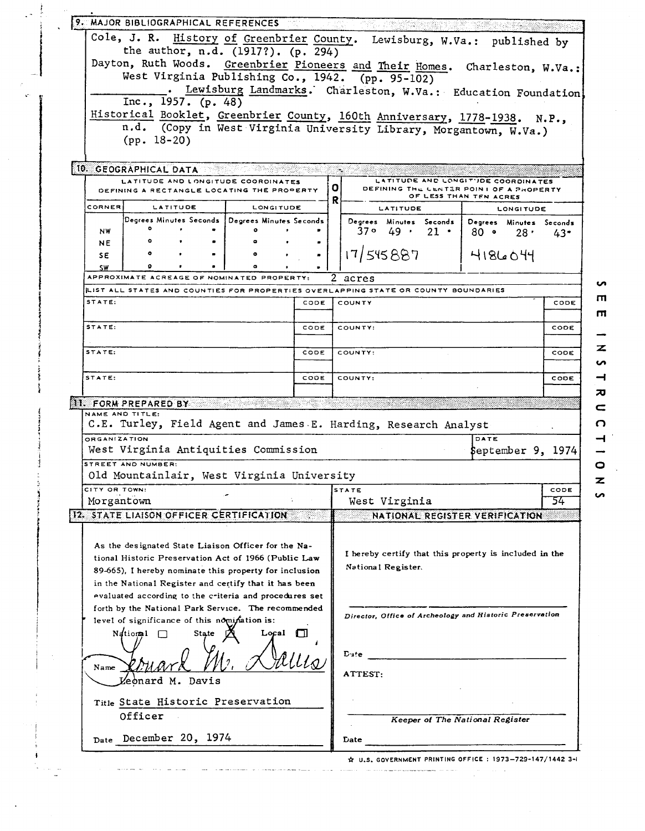|                 |                       | the author, n.d. (1917?). (p. 294)                                                                              |           |              |              | Cole, J. R. History of Greenbrier County. Lewisburg, W.Va.: published by           |                                            |                     |
|-----------------|-----------------------|-----------------------------------------------------------------------------------------------------------------|-----------|--------------|--------------|------------------------------------------------------------------------------------|--------------------------------------------|---------------------|
|                 |                       |                                                                                                                 |           |              |              | Dayton, Ruth Woods. Greenbrier Pioneers and Their Homes. Charleston, W.Va.:        |                                            |                     |
|                 |                       |                                                                                                                 |           |              |              | West Virginia Publishing Co., 1942. (pp. 95-102)                                   |                                            |                     |
|                 |                       | Inc., 1957. (p. 48)                                                                                             |           |              |              | Lewisburg Landmarks. Charleston, W.Va.: Education Foundation                       |                                            |                     |
|                 |                       |                                                                                                                 |           |              |              | Historical Booklet, Greenbrier County, 160th Anniversary, 1778-1938. N.P.,         |                                            |                     |
|                 |                       |                                                                                                                 |           |              |              | n.d. (Copy in West Virginia University Library, Morgantown, W.Va.)                 |                                            |                     |
|                 | $(pp. 18-20)$         |                                                                                                                 |           |              |              |                                                                                    |                                            |                     |
|                 |                       |                                                                                                                 |           |              |              |                                                                                    |                                            |                     |
|                 | 10. GEOGRAPHICAL DATA |                                                                                                                 |           |              |              |                                                                                    |                                            |                     |
|                 |                       | LATITUDE AND LONGITUDE COORDINATES<br>DEFINING A RECTANGLE LOCATING THE PROPERTY                                |           |              | $\mathbf{O}$ | LATITUDE AND LONGITUDE COORDINATES<br>DEFINING THE CENTER POINT OF A PROPERTY      |                                            |                     |
| CORNER          |                       | LATITUDE                                                                                                        | LONGITUDE |              | R            | LATITUDE                                                                           | OF LESS THAN TEN ACRES<br><b>LONGITUDE</b> |                     |
|                 |                       | Degrees Minutes Seconds   Degrees Minutes Seconds                                                               |           |              |              | Degrees Minutes Seconds                                                            | Degrees Minutes Seconds                    |                     |
| <b>NW</b>       |                       |                                                                                                                 |           |              |              | $37° 49 \cdot 21$                                                                  | 80 •<br>28 <sup>1</sup>                    | 43.                 |
| NE              |                       |                                                                                                                 |           |              |              |                                                                                    |                                            |                     |
| SΕ<br><b>SW</b> |                       |                                                                                                                 |           |              |              | 17/545887                                                                          | 4186044                                    |                     |
|                 |                       | APPROXIMATE ACREAGE OF NOMINATED PROPERTY:                                                                      |           |              | 2            | acres                                                                              |                                            |                     |
|                 |                       |                                                                                                                 |           |              |              | LIST ALL STATES AND COUNTIES FOR PROPERTIES OVERLAPPING STATE OR COUNTY BOUNDARIES |                                            |                     |
| STATE:          |                       |                                                                                                                 |           | CODE         |              | COUNTY                                                                             |                                            | CODE                |
| STATE:          |                       |                                                                                                                 |           |              |              |                                                                                    |                                            |                     |
|                 |                       |                                                                                                                 |           | CODE         |              | COUNTY:                                                                            |                                            | CODE                |
| STATE:          |                       |                                                                                                                 |           | CODE         |              | COUNTY:                                                                            |                                            | CODE                |
|                 |                       |                                                                                                                 |           |              |              |                                                                                    |                                            |                     |
| STATE:          |                       |                                                                                                                 |           |              |              |                                                                                    |                                            |                     |
|                 |                       |                                                                                                                 |           | CODE         |              | COUNTY:                                                                            |                                            |                     |
|                 |                       |                                                                                                                 |           |              |              |                                                                                    |                                            |                     |
|                 | 11. FORM PREPARED BY  |                                                                                                                 |           |              |              |                                                                                    |                                            |                     |
| NAME AND TITLE: |                       |                                                                                                                 |           |              |              |                                                                                    |                                            |                     |
| ORGANIZATION    |                       |                                                                                                                 |           |              |              | C.E. Turley, Field Agent and James E. Harding, Research Analyst                    | DATE                                       |                     |
|                 |                       | West Virginia Antiquities Commission                                                                            |           |              |              |                                                                                    | \$eptember 9, 1974                         |                     |
|                 | STREET AND NUMBER:    |                                                                                                                 |           |              |              |                                                                                    |                                            |                     |
|                 |                       | Old Mountainlair, West Virginia University                                                                      |           |              |              |                                                                                    |                                            |                     |
| CITY OR TOWN:   |                       |                                                                                                                 |           |              |              | STATE                                                                              |                                            |                     |
| Morgantown      |                       |                                                                                                                 |           |              |              | West Virginia                                                                      |                                            | CODE<br>CODE<br>54. |
|                 |                       | 12. STATE LIAISON OFFICER CERTIFICATION                                                                         |           |              |              | NATIONAL REGISTER VERIFICATION                                                     |                                            |                     |
|                 |                       |                                                                                                                 |           |              |              |                                                                                    |                                            |                     |
|                 |                       | As the designated State Liaison Officer for the Na-                                                             |           |              |              | I hereby certify that this property is included in the                             |                                            |                     |
|                 |                       | tional Historic Preservation Act of 1966 (Public Law                                                            |           |              |              | National Register.                                                                 |                                            |                     |
|                 |                       | 89-665), I hereby nominate this property for inclusion                                                          |           |              |              |                                                                                    |                                            |                     |
|                 |                       | in the National Register and certify that it has been<br>evaluated according to the criteria and procedures set |           |              |              |                                                                                    |                                            |                     |
|                 |                       | forth by the National Park Service. The recommended                                                             |           |              |              |                                                                                    |                                            |                     |
|                 |                       | level of significance of this nomination is:                                                                    |           |              |              | Director, Office of Archeology and Historic Preservation                           |                                            |                     |
|                 | National              | State                                                                                                           |           | Local $\Box$ |              |                                                                                    |                                            |                     |
|                 |                       |                                                                                                                 |           |              |              |                                                                                    |                                            |                     |
|                 |                       |                                                                                                                 |           |              |              | $D$ afe                                                                            |                                            |                     |
| Name            |                       |                                                                                                                 |           |              |              | ATTEST:                                                                            |                                            |                     |
|                 | Leonard M. Davis      |                                                                                                                 |           |              |              |                                                                                    |                                            |                     |
|                 |                       | Title State Historic Preservation                                                                               |           |              |              |                                                                                    |                                            |                     |
|                 | Officer               |                                                                                                                 |           |              |              |                                                                                    | <b>Keeper of The National Register</b>     |                     |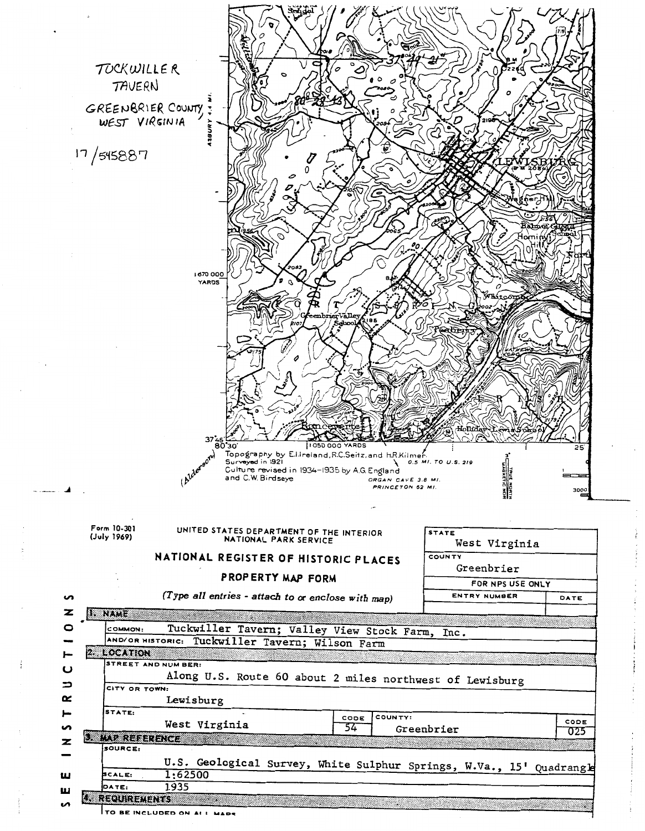